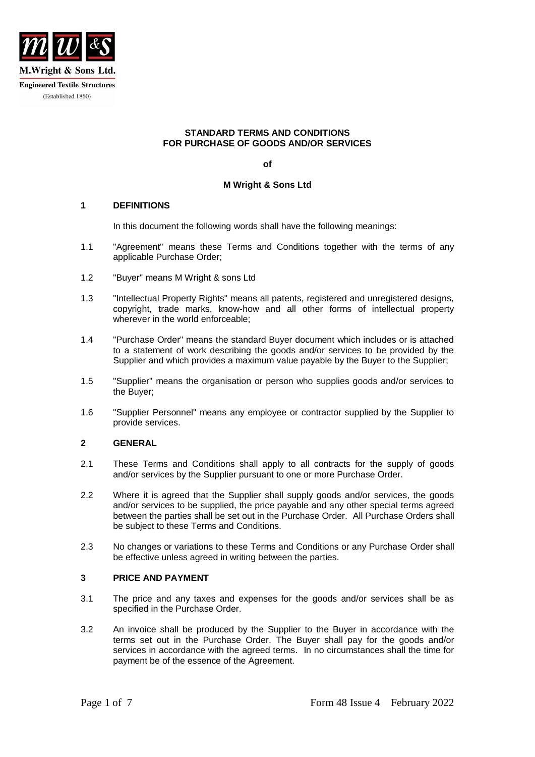

#### **STANDARD TERMS AND CONDITIONS FOR PURCHASE OF GOODS AND/OR SERVICES**

**of**

## **M Wright & Sons Ltd**

### **1 DEFINITIONS**

In this document the following words shall have the following meanings:

- 1.1 "Agreement" means these Terms and Conditions together with the terms of any applicable Purchase Order;
- 1.2 "Buyer" means M Wright & sons Ltd
- 1.3 "Intellectual Property Rights" means all patents, registered and unregistered designs, copyright, trade marks, know-how and all other forms of intellectual property wherever in the world enforceable;
- 1.4 "Purchase Order" means the standard Buyer document which includes or is attached to a statement of work describing the goods and/or services to be provided by the Supplier and which provides a maximum value payable by the Buyer to the Supplier;
- 1.5 "Supplier" means the organisation or person who supplies goods and/or services to the Buyer;
- 1.6 "Supplier Personnel" means any employee or contractor supplied by the Supplier to provide services.

## **2 GENERAL**

- 2.1 These Terms and Conditions shall apply to all contracts for the supply of goods and/or services by the Supplier pursuant to one or more Purchase Order.
- 2.2 Where it is agreed that the Supplier shall supply goods and/or services, the goods and/or services to be supplied, the price payable and any other special terms agreed between the parties shall be set out in the Purchase Order. All Purchase Orders shall be subject to these Terms and Conditions.
- 2.3 No changes or variations to these Terms and Conditions or any Purchase Order shall be effective unless agreed in writing between the parties.

#### **3 PRICE AND PAYMENT**

- 3.1 The price and any taxes and expenses for the goods and/or services shall be as specified in the Purchase Order.
- 3.2 An invoice shall be produced by the Supplier to the Buyer in accordance with the terms set out in the Purchase Order. The Buyer shall pay for the goods and/or services in accordance with the agreed terms. In no circumstances shall the time for payment be of the essence of the Agreement.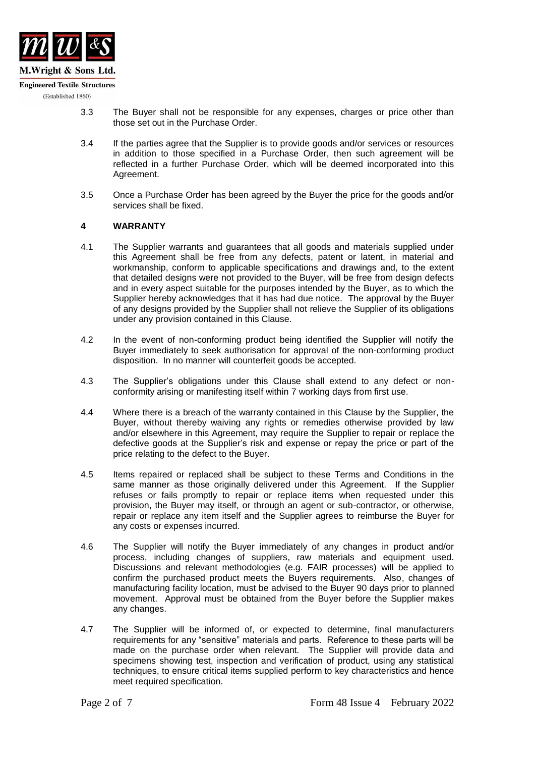

- 3.3 The Buyer shall not be responsible for any expenses, charges or price other than those set out in the Purchase Order.
- 3.4 If the parties agree that the Supplier is to provide goods and/or services or resources in addition to those specified in a Purchase Order, then such agreement will be reflected in a further Purchase Order, which will be deemed incorporated into this Agreement.
- 3.5 Once a Purchase Order has been agreed by the Buyer the price for the goods and/or services shall be fixed.

### **4 WARRANTY**

- 4.1 The Supplier warrants and guarantees that all goods and materials supplied under this Agreement shall be free from any defects, patent or latent, in material and workmanship, conform to applicable specifications and drawings and, to the extent that detailed designs were not provided to the Buyer, will be free from design defects and in every aspect suitable for the purposes intended by the Buyer, as to which the Supplier hereby acknowledges that it has had due notice. The approval by the Buyer of any designs provided by the Supplier shall not relieve the Supplier of its obligations under any provision contained in this Clause.
- 4.2 In the event of non-conforming product being identified the Supplier will notify the Buyer immediately to seek authorisation for approval of the non-conforming product disposition. In no manner will counterfeit goods be accepted.
- 4.3 The Supplier's obligations under this Clause shall extend to any defect or nonconformity arising or manifesting itself within 7 working days from first use.
- 4.4 Where there is a breach of the warranty contained in this Clause by the Supplier, the Buyer, without thereby waiving any rights or remedies otherwise provided by law and/or elsewhere in this Agreement, may require the Supplier to repair or replace the defective goods at the Supplier's risk and expense or repay the price or part of the price relating to the defect to the Buyer.
- 4.5 Items repaired or replaced shall be subject to these Terms and Conditions in the same manner as those originally delivered under this Agreement. If the Supplier refuses or fails promptly to repair or replace items when requested under this provision, the Buyer may itself, or through an agent or sub-contractor, or otherwise, repair or replace any item itself and the Supplier agrees to reimburse the Buyer for any costs or expenses incurred.
- 4.6 The Supplier will notify the Buyer immediately of any changes in product and/or process, including changes of suppliers, raw materials and equipment used. Discussions and relevant methodologies (e.g. FAIR processes) will be applied to confirm the purchased product meets the Buyers requirements. Also, changes of manufacturing facility location, must be advised to the Buyer 90 days prior to planned movement. Approval must be obtained from the Buyer before the Supplier makes any changes.
- 4.7 The Supplier will be informed of, or expected to determine, final manufacturers requirements for any "sensitive" materials and parts. Reference to these parts will be made on the purchase order when relevant. The Supplier will provide data and specimens showing test, inspection and verification of product, using any statistical techniques, to ensure critical items supplied perform to key characteristics and hence meet required specification.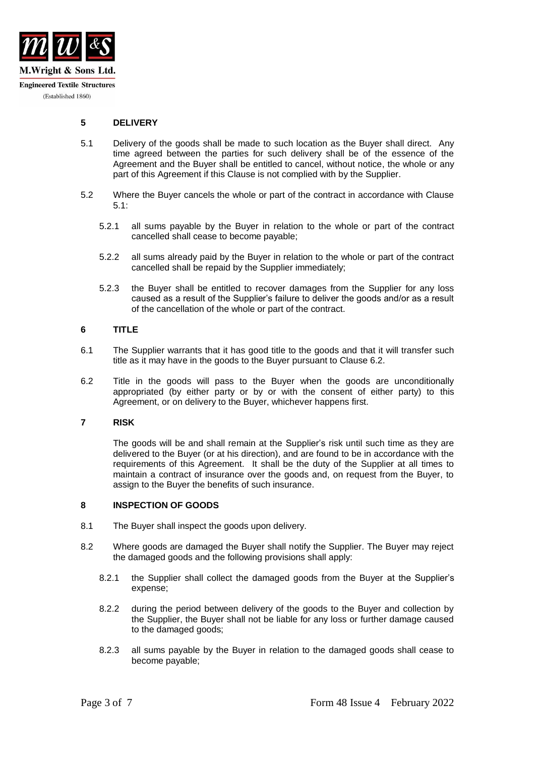

## **5 DELIVERY**

- 5.1 Delivery of the goods shall be made to such location as the Buyer shall direct. Any time agreed between the parties for such delivery shall be of the essence of the Agreement and the Buyer shall be entitled to cancel, without notice, the whole or any part of this Agreement if this Clause is not complied with by the Supplier.
- 5.2 Where the Buyer cancels the whole or part of the contract in accordance with Clause 5.1:
	- 5.2.1 all sums payable by the Buyer in relation to the whole or part of the contract cancelled shall cease to become payable;
	- 5.2.2 all sums already paid by the Buyer in relation to the whole or part of the contract cancelled shall be repaid by the Supplier immediately;
	- 5.2.3 the Buyer shall be entitled to recover damages from the Supplier for any loss caused as a result of the Supplier's failure to deliver the goods and/or as a result of the cancellation of the whole or part of the contract.

## **6 TITLE**

- 6.1 The Supplier warrants that it has good title to the goods and that it will transfer such title as it may have in the goods to the Buyer pursuant to Clause 6.2.
- 6.2 Title in the goods will pass to the Buyer when the goods are unconditionally appropriated (by either party or by or with the consent of either party) to this Agreement, or on delivery to the Buyer, whichever happens first.

#### **7 RISK**

The goods will be and shall remain at the Supplier's risk until such time as they are delivered to the Buyer (or at his direction), and are found to be in accordance with the requirements of this Agreement. It shall be the duty of the Supplier at all times to maintain a contract of insurance over the goods and, on request from the Buyer, to assign to the Buyer the benefits of such insurance.

#### **8 INSPECTION OF GOODS**

- 8.1 The Buyer shall inspect the goods upon delivery.
- 8.2 Where goods are damaged the Buyer shall notify the Supplier. The Buyer may reject the damaged goods and the following provisions shall apply:
	- 8.2.1 the Supplier shall collect the damaged goods from the Buyer at the Supplier's expense;
	- 8.2.2 during the period between delivery of the goods to the Buyer and collection by the Supplier, the Buyer shall not be liable for any loss or further damage caused to the damaged goods;
	- 8.2.3 all sums payable by the Buyer in relation to the damaged goods shall cease to become payable;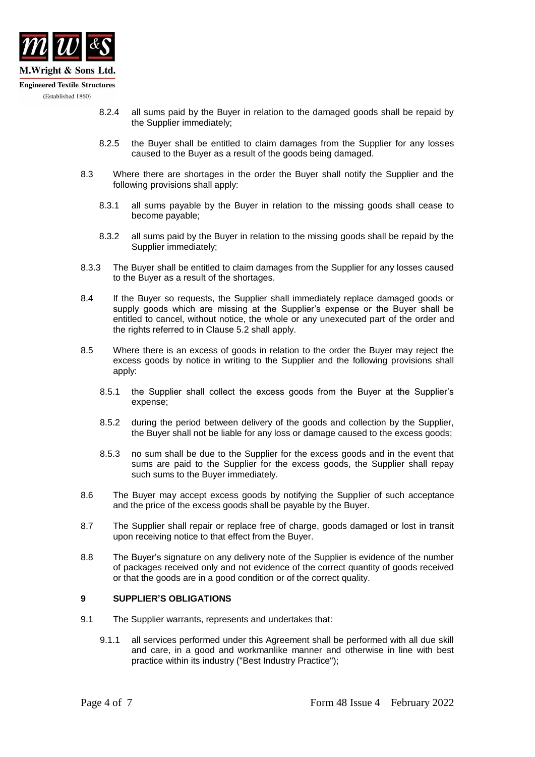

- (Established 1860)
- 8.2.4 all sums paid by the Buyer in relation to the damaged goods shall be repaid by the Supplier immediately;
- 8.2.5 the Buyer shall be entitled to claim damages from the Supplier for any losses caused to the Buyer as a result of the goods being damaged.
- 8.3 Where there are shortages in the order the Buyer shall notify the Supplier and the following provisions shall apply:
	- 8.3.1 all sums payable by the Buyer in relation to the missing goods shall cease to become payable;
	- 8.3.2 all sums paid by the Buyer in relation to the missing goods shall be repaid by the Supplier immediately;
- 8.3.3 The Buyer shall be entitled to claim damages from the Supplier for any losses caused to the Buyer as a result of the shortages.
- 8.4 If the Buyer so requests, the Supplier shall immediately replace damaged goods or supply goods which are missing at the Supplier's expense or the Buyer shall be entitled to cancel, without notice, the whole or any unexecuted part of the order and the rights referred to in Clause 5.2 shall apply.
- 8.5 Where there is an excess of goods in relation to the order the Buyer may reject the excess goods by notice in writing to the Supplier and the following provisions shall apply:
	- 8.5.1 the Supplier shall collect the excess goods from the Buyer at the Supplier's expense;
	- 8.5.2 during the period between delivery of the goods and collection by the Supplier, the Buyer shall not be liable for any loss or damage caused to the excess goods;
	- 8.5.3 no sum shall be due to the Supplier for the excess goods and in the event that sums are paid to the Supplier for the excess goods, the Supplier shall repay such sums to the Buyer immediately.
- 8.6 The Buyer may accept excess goods by notifying the Supplier of such acceptance and the price of the excess goods shall be payable by the Buyer.
- 8.7 The Supplier shall repair or replace free of charge, goods damaged or lost in transit upon receiving notice to that effect from the Buyer.
- 8.8 The Buyer's signature on any delivery note of the Supplier is evidence of the number of packages received only and not evidence of the correct quantity of goods received or that the goods are in a good condition or of the correct quality.

#### **9 SUPPLIER'S OBLIGATIONS**

- 9.1 The Supplier warrants, represents and undertakes that:
	- 9.1.1 all services performed under this Agreement shall be performed with all due skill and care, in a good and workmanlike manner and otherwise in line with best practice within its industry ("Best Industry Practice");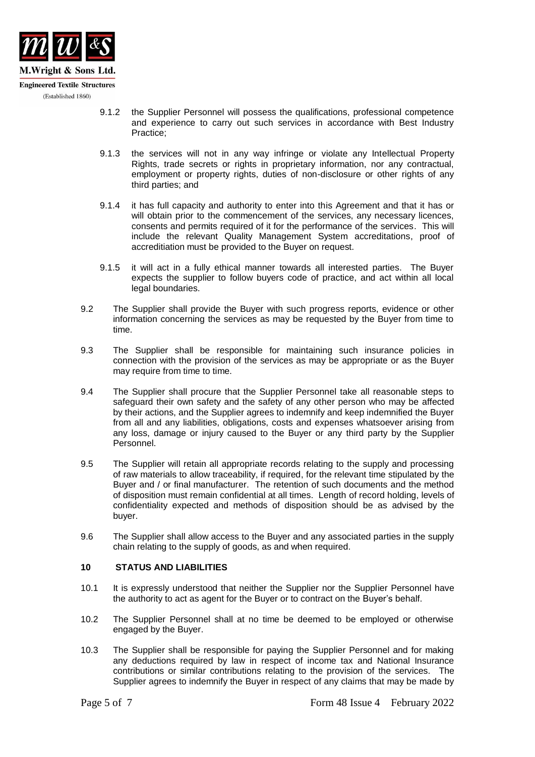

- 9.1.2 the Supplier Personnel will possess the qualifications, professional competence and experience to carry out such services in accordance with Best Industry Practice;
- 9.1.3 the services will not in any way infringe or violate any Intellectual Property Rights, trade secrets or rights in proprietary information, nor any contractual, employment or property rights, duties of non-disclosure or other rights of any third parties; and
- 9.1.4 it has full capacity and authority to enter into this Agreement and that it has or will obtain prior to the commencement of the services, any necessary licences, consents and permits required of it for the performance of the services. This will include the relevant Quality Management System accreditations, proof of accreditiation must be provided to the Buyer on request.
- 9.1.5 it will act in a fully ethical manner towards all interested parties. The Buyer expects the supplier to follow buyers code of practice, and act within all local legal boundaries.
- 9.2 The Supplier shall provide the Buyer with such progress reports, evidence or other information concerning the services as may be requested by the Buyer from time to time.
- 9.3 The Supplier shall be responsible for maintaining such insurance policies in connection with the provision of the services as may be appropriate or as the Buyer may require from time to time.
- 9.4 The Supplier shall procure that the Supplier Personnel take all reasonable steps to safeguard their own safety and the safety of any other person who may be affected by their actions, and the Supplier agrees to indemnify and keep indemnified the Buyer from all and any liabilities, obligations, costs and expenses whatsoever arising from any loss, damage or injury caused to the Buyer or any third party by the Supplier Personnel.
- 9.5 The Supplier will retain all appropriate records relating to the supply and processing of raw materials to allow traceability, if required, for the relevant time stipulated by the Buyer and / or final manufacturer. The retention of such documents and the method of disposition must remain confidential at all times. Length of record holding, levels of confidentiality expected and methods of disposition should be as advised by the buyer.
- 9.6 The Supplier shall allow access to the Buyer and any associated parties in the supply chain relating to the supply of goods, as and when required.

# **10 STATUS AND LIABILITIES**

- 10.1 It is expressly understood that neither the Supplier nor the Supplier Personnel have the authority to act as agent for the Buyer or to contract on the Buyer's behalf.
- 10.2 The Supplier Personnel shall at no time be deemed to be employed or otherwise engaged by the Buyer.
- 10.3 The Supplier shall be responsible for paying the Supplier Personnel and for making any deductions required by law in respect of income tax and National Insurance contributions or similar contributions relating to the provision of the services. The Supplier agrees to indemnify the Buyer in respect of any claims that may be made by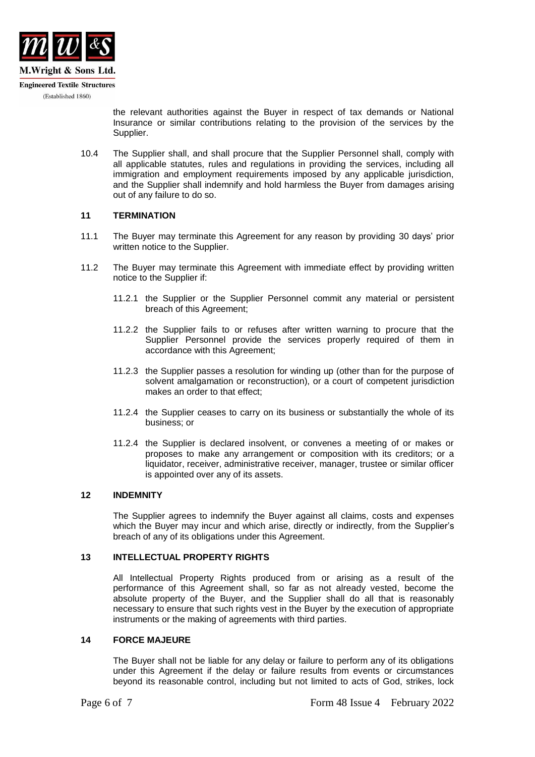

the relevant authorities against the Buyer in respect of tax demands or National Insurance or similar contributions relating to the provision of the services by the Supplier.

10.4 The Supplier shall, and shall procure that the Supplier Personnel shall, comply with all applicable statutes, rules and regulations in providing the services, including all immigration and employment requirements imposed by any applicable jurisdiction, and the Supplier shall indemnify and hold harmless the Buyer from damages arising out of any failure to do so.

### **11 TERMINATION**

- 11.1 The Buyer may terminate this Agreement for any reason by providing 30 days' prior written notice to the Supplier.
- 11.2 The Buyer may terminate this Agreement with immediate effect by providing written notice to the Supplier if:
	- 11.2.1 the Supplier or the Supplier Personnel commit any material or persistent breach of this Agreement;
	- 11.2.2 the Supplier fails to or refuses after written warning to procure that the Supplier Personnel provide the services properly required of them in accordance with this Agreement;
	- 11.2.3 the Supplier passes a resolution for winding up (other than for the purpose of solvent amalgamation or reconstruction), or a court of competent jurisdiction makes an order to that effect;
	- 11.2.4 the Supplier ceases to carry on its business or substantially the whole of its business; or
	- 11.2.4 the Supplier is declared insolvent, or convenes a meeting of or makes or proposes to make any arrangement or composition with its creditors; or a liquidator, receiver, administrative receiver, manager, trustee or similar officer is appointed over any of its assets.

#### **12 INDEMNITY**

The Supplier agrees to indemnify the Buyer against all claims, costs and expenses which the Buyer may incur and which arise, directly or indirectly, from the Supplier's breach of any of its obligations under this Agreement.

### **13 INTELLECTUAL PROPERTY RIGHTS**

All Intellectual Property Rights produced from or arising as a result of the performance of this Agreement shall, so far as not already vested, become the absolute property of the Buyer, and the Supplier shall do all that is reasonably necessary to ensure that such rights vest in the Buyer by the execution of appropriate instruments or the making of agreements with third parties.

### **14 FORCE MAJEURE**

The Buyer shall not be liable for any delay or failure to perform any of its obligations under this Agreement if the delay or failure results from events or circumstances beyond its reasonable control, including but not limited to acts of God, strikes, lock